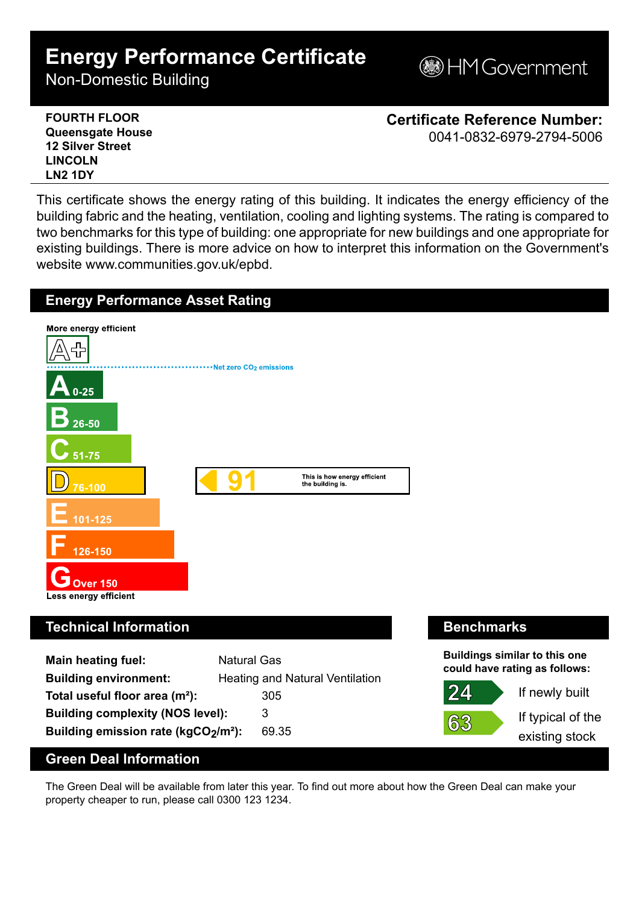## **Energy Performance Certificate**

Non-Domestic Building



| <b>FOURTH FLOOR</b>     | <b>Certificate Reference Number:</b> |
|-------------------------|--------------------------------------|
| <b>Queensgate House</b> | 0041-0832-6979-2794-5006             |
| <b>12 Silver Street</b> |                                      |
| <b>LINCOLN</b>          |                                      |
| LN <sub>2</sub> 1DY     |                                      |

This certificate shows the energy rating of this building. It indicates the energy efficiency of the building fabric and the heating, ventilation, cooling and lighting systems. The rating is compared to two benchmarks for this type of building: one appropriate for new buildings and one appropriate for existing buildings. There is more advice on how to interpret this information on the Government's website www.communities.gov.uk/epbd.



The Green Deal will be available from later this year. To find out more about how the Green Deal can make your property cheaper to run, please call 0300 123 1234.